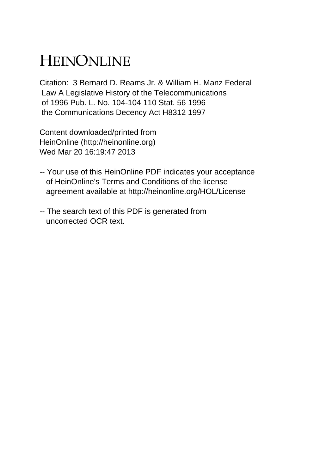# HEINONLINE

Citation: 3 Bernard D. Reams Jr. & William H. Manz Federal Law A Legislative History of the Telecommunications of 1996 Pub. L. No. 104-104 110 Stat. 56 1996 the Communications Decency Act H8312 1997

Content downloaded/printed from HeinOnline (http://heinonline.org) Wed Mar 20 16:19:47 2013

- -- Your use of this HeinOnline PDF indicates your acceptance of HeinOnline's Terms and Conditions of the license agreement available at http://heinonline.org/HOL/License
- -- The search text of this PDF is generated from uncorrected OCR text.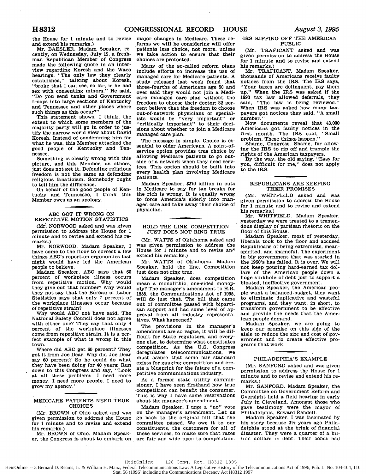the House for **1** minute and to revise and extend his remarks.)

Mr. BAESLER. Madam Speaker, recently, on Wednesday, July 19, a freshman Republican Member of Congress made the following quote in an interview regarding Koresh and the Waco hearings. "The only law they clearly established," talking about Koresh, "broke that I can see, so far, is he had sex with consenting minors." He said, "Do you send tanks and Government troops into large sections of Kentucky and Tennessee and other places where such things as this occur?'

This statement shows, I think, the extent to which some members of the majority party will go in order to justify the narrow world view about David Koresh. Instead of condemning him for what he was, this Member attacked the good people of Kentucky and Tennessee.

Something is clearly wrong with this picture, and this Member, as others, just does not get it. Defending religious freedom is not the same as defending religious fanaticism. Somebody ought to tell him the difference.

On behalf of the good people of Kentucky and Tennessee, I think this Member owes us an apology.

# **ABC GOT** IT WRONG ON REPETITIVE MOTION STATISTICS

(Mr. NORWOOD asked and was given permission to address the House for **1** minute and to revise and extend his remarks.)

Mr. NORWOOD. Madam Speaker, **I** have come to the floor to correct a few things ABC's report on ergonomics last night would have led the American people to believe.

Madam Speaker, **ABC** says that **<sup>60</sup>** percent of workplace illness occurs from repetitive motion. **Why** would they give out that number? **Why** would they not say that the Bureau of Labor Statistics says that only 7 percent of the workplace illnesses occur because of repetitive strain?

**Why** would **ABC** not have said, The National Safety Council does not agree with either one? They say that only 4 percent of the workplace illnesses come from repetitive strain. It is a perfect example of what is wrong in this town.

Where did **ABC** get 60 percent? They got it from Joe Dear. Why did Joe Dear say 60 percent? So he could do what they have been doing for 40 years: Run down to this Congress and say, "Look at all these problems. I need more money. I need more people. I need to grow my agency."

### MEDICARE PATIENTS NEED TRUE CHOICES

(Mr. BROWN of Ohio asked and was given permission to address the House for 1 minute and to revise and extend his remarks.)

Mr. BROWN of Ohio. Madam Speaker, the Congress is about to embark on are fair and wide open to competition.

 $\overline{1}$ 

major changes in Medicare. These reforms we will be considering will offer patients less choice, not more, unless we take action to ensure that their choices are protected.

Many of the so-called reform plans include efforts to increase the use of managed care for Medicare patients. **A** study released last week found that three-fourths of Americans age **50** and over said they would not join a Medicare managed care plan without the freedom to choose their doctor; **82** percent believe that the freedom to choose out-of-network physicians or specialists would be "very important" or "critically important" to their decisions about whether to join a Medicare managed care plan.

The message is simple. Choice is essential to older Americans. **A** point-ofservice option provides true choice **by** allowing Medicare patients to go outside of a network when they need services. This option should be built into every health plan involving Medicare patients.

Madam Speaker, **\$270** billion in cuts in Medicare to pay for tax breaks for the rich is wrong. It is equally wrong to force America's elderly into managed care and take away their choice **of** physician.

#### HOLD THE LINE. COMPETITION **JUST DOES NOT** RING TRUE

(Mr. WATTS of Oklahoma asked and was given permission to address the House for **1** minute and to revise ani extend his remarks.)

Mr. WATTS of Oklahoma. Madam Speaker, hold the line. Competition just does not ring true.

Madam Speaker, does competition mean a monolithic, one-sided monopoly? The manager's amendment to H.R. **1555,** the Communications Act of **1995,** will do just that. The bill that came out of committee passed with bipartisan support and had some level of approval from all industry representatives. What happened?

The provisions **-** in the manager's amendment are so vague, it will be difficult for State regulators, and everyone else, to determine what constitutes competition. As the U.S. Congress deregulates telecommunications, we must assure that some fair standard exists for gauging competition and create a blueprint for the future of a competitive communications industry.

As a former state utility commissioner, I have seen firsthand how true competition can benefit the consumer. This is why I have some reservations about the manager's amendment.

Madam Speaker, I urge a "no" vote on the manager's amendment. Let us go back to the original bill that the committee passed. We owe it to our constituents, the customers for all of these services, to make sure that rates

# **-IRS** RIPPING OFF THE AMERICAN PUBLIC

(Mr. TRAFICANT asked and was given permission to address the House for **1** minute and to revise and extend his remarks.)

Mr. TRAFICANT. Madam Speaker, thousands of Americans receive faulty notices from the IRS. The IRS says, "Your taxes are delinquent, pay them up." When the IRS was asked if the **1993** tax law allowed deferrals, they said, "The law is being reviewed." When IRS was asked how many taxpayers got notices they said, **"A** small number."

Now documents reveal that 43,000 Americans got faulty notices in the first month. The IRS said, "Small problem. These things happen."

Shame, Congress. Shame, for allowing the IRS to rip off and trample the rights of the American taxpayers.

**By** the way, the old saying, "Easy for you, difficult for me," does not apply to the IRS.

#### REPUBLICANS ARE **KEEPING** THEIR PROMISES

(Mr. WHITFIELD asked and was given permission to address the House for **1** minute and to revise and extend his remarks.)

Mr. WHITFIELD. Madam Speaker, yesterday we were treated to a tremendous display of partisan rhetoric on the floor of this House.

Madam Speaker, most of yesterday, liberals took to the floor and accused Republicans of being extremists, meanspirited, and shameful. The experiment in big government that was started in the 1960's has failed. It is over. We will not keep pouring hard-earned tax dollars of the American people down a huge sinkhole of debt just to support a bloated, ineffective government.

Madam Speaker, the American people want a balanced. budget, they want to eliminate duplicative and wasteful programs, and they want, in short, to transform government to be effective and provide the needs that the American people demand.

Madam Speaker, we are going to keep our promise on this side of the aisle to reduce the size and cost of government and to create effective programs that work.

# PHILADEPHIA'S EXAMPLE

(Mr. SANFORD asked and was given permission to address the House for 1 minute and to revise and extend his remarks.)

Mr. SANFORD. Madam Speaker, the Committee on Government Reform and Oversight held a field hearing in early July in Cleveland. Amongst those who gave testimony were the mayor of Philadelphia, Edward Rendell.

Madam Speaker, I was fascinated by his story because **32** years ago Philadelphia stood at the brink of financial disaster. They were a quarter of a billion dollars in debt. Their bonds had

HeinOnline -- 3 Bernard D. Reams, Jr. & William H. Manz, Federal Telecommunications Law: A Legislative History of the Telecommunications Act of 1996, Pub. L. No. 104-104, 110 Stat. 56 (1996) including the Communications Decency Act H8312 1997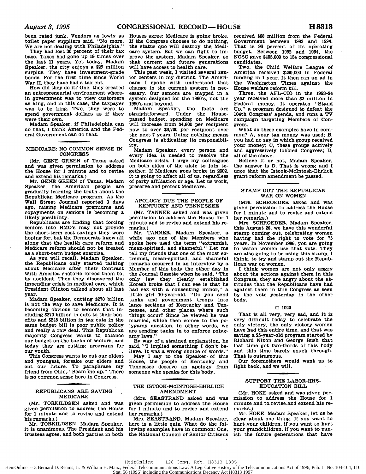been rated junk. Vendors as lowly as toilet paper suppliers said, "No more. We **are** not dealing with Philadelphia."

They had lost **30** percent of their tax base. Taxes had gone up **19** times over the last **11** years. Yet today, Madam Speaker, the city enjoys a **\$29** million surplus. They have investment-grade bonds. For the first time since World War **H,** they have had a tax cut.

How did they do it? One, they created an entrepreneurial environment wherein government was to view customers as king, and in this case, the taxpayer was to be king. Two, they were to spend government dollars as if they<br>were their own.

Madam Speaker, if Philadelphia can do that, I think America and the Federal Government can do that.

#### MEDICARE: **NO COMMON SENSE** IN **CONGRESS**

(Mr. **GENE GREEN** of Texas asked and was given permission to address the House for **1** minute and to revise and extend his remarks.)

Mr. **GENE GREEN** of Texas. Madam Speaker, the American people are gradually learning the truth about the Republican Medicare program. As the Wall Street Journal reported 3 days ago, raising Medicare premiums and copayments on seniors is becoming a likely possibility.

Republicans are finding that forcing seniors into HMO's may not provide the short-term cost savings they were hoping for, but the Democrats knew all along that the health care reform and Medicare reform should not be treated as a short-term budget exercise.

As you will recall, Madam Speaker, the Republicans only started talking about Medicare after their Contract With America rhetoric forced them to, **by** accident. Then they discovered the impending crisis in medical care, which President Clinton talked about all last year.

Madam Speaker, cutting **\$270** billion is not the way to save Medicare. It is becoming obvious to seniors that including **\$270** billion in cuts to their benefits and \$245 billion in tax cuts in the same budget bill is poor public policy and really a raw deal. This Republican majority Congress wants to balance our budget on the backs of seniors, and today they are cutting programs for our youth.

This Congress wants to cut our oldest and youngest, forsake our elders and **cut** our future. To paraphrase my friend from Ohio, "Beam **ine** up." There is no common sense here in Congress.

#### REPUBLICANS ARE SAVING MEDICARE

(Mr. TORKILDSEN asked and was given permission to address the House for **1** minute and to revise and extend his remarks.)

Mr. TORKILDSEN. Madam Speaker, it is unanimous. The President and his trustees agree, and both parties in both

Houses agree: Medicare is going broke. **If** the Congress chooses to do nothing, the status quo will destroy the Medicare system. But we can fight to improve the system, Madam Speaker, so that current and future generations<br>will have access to health care.

This past week, I visited several senior centers in my district. The Americans I spoke with understood that change in the current system is necessary. Our seniors are trapped in a system designed for the 1960's, not the 1990's and beyond.

Madam Speaker, the facts are straightforward. Under the Housepassed budget, spending on Medicare will increase from \$4,800 per recipient now to over **\$6,700** per recipient over the next 7 years. Doing nothing means Congress is abdicating its responsibility.

Madam Speaker, every person and every idea is needed to resolve the Medicare crisis. I urge my colleagues on both sides of the aisle to join together. If Medicare goes broke in 2002, it is going to affect all of us, regardless of party affiliation or age. Let us work, preserve and protect Medicare.

#### APOLOGY **DUE** THE PEOPLE OF **KENTUCKY AND TENNESSEE**

(Mr. **TANNER** asked and was given permission to address the House for **1** minute and to revise and extend his remarks.)

Mr. **TANNER.** Madam Speaker, a while ago one of the Members who spoke here used the term "extremist, mean-spirited, and shameful." Let me tell my friends that one of the most extremist, mean-spirited, and shameful remarks occurred in an interview **by** a Member of this body the other day in the Journal Gazette when he said, "The only law they clearly established Koresh broke that I can see is that he had sex with a consenting minor," a little girl 10-year-old. "Do you send tanks and government troops into large sections of Kentucky and Tennessee, and other places where such things occur? Since he viewed he was married, which then comes to the polygamy question, in other words, we are sending tanks in to enforce **polyg**amy laws."

**By** way of a strained explanation, he said, "I implied something I don't believe. It was a wrong choice of words."

May I say to the Speaker. of this House, the people of Kentucky and Tennessee deserve an apology from someone who speaks for this body.

#### THE ISTOOK-McINTOSH-EHRLICH **AMENDMENT**

(Mrs. **SEASTRAND** asked and was given permission to address the House for **1** minute and to revise and extend her remarks.)

Mrs. **SEASTRAND.** Madam Speaker, here is a little quiz. What do the following examples have in common: One, the National Council of Senior Citizens received **\$68** million from the Federal Government between **1993 and** 1994. That is **96** percent of its operating budget. Between **1992** and 1994, the **NCSC** gave \$405,000 to 134 congressional candidates.

Two, the Child Welfare League of America received **\$260,000** in Federal funding in **1** year. It then ran an ad in the Washington Times against the House welfare reform bill.

Three, the AFL-CIO in the 1993-94 year received more than \$2 million in Federal money. It operates "Stand **Up,"** a program designed to defeat the 104th Congress' agenda, and runs a TV campaign targeting Members of Congress.

What do these examples have in common? **A,** your tax money was used; B, you had no say in which group received your money; **C,** these groups actively and aggressively lobbied Congress; **D,** all of the above.

Believe it or not, Madam Speaker, the answer is **D.** That is wrong and I urge that the Istook-McIntosh-Ehrlich grant reform amendment be passed.

# STAMP **OUT** THE REPUBLICAN WAR **ON** WOMEN

(Mrs. SCHROEDER asked and was given permission to address the House for **1** minute and to revise and extend her remarks.)

Mrs. SCHROEDER. Madam Speaker, this August **26,** we have this wonderful stamp coming out, celebrating women having had the right to vote for **<sup>75</sup>** years. In November **1996,** you are going to watch women use that vote. They are also going to be using this stamp, I think, to try and stamp out the Repub-

I think women are not only angry about the actions against them in this Congress, they are angry about the attitudes that the Republicans have had against them in this Congress as seen **by** the vote yesterday in the other body.

#### **0** 1020

That is all very, very sad, and it is very difficult today to celebrate the only victory, the only victory women have had this entire time, and that was saving a 25-year-old program started **by** Richard Nixon and George Bush that last time got two-thirds of this body and this time barely snuck through. That is outrageous.

Our foremothers would want us to fight back, and we will.

#### SUPPORT THE LABOR-HHS-**EDUCATION** BILL

(Mr. HOKE asked and was given permission to address the House for **1** minute and to revise.and extend his remarks.)

Mr. HOKE. Madam Speaker, let us be clear about one thing. If you want to hurt your children, if you want to hurt your grandchildren, if you want to punish the future generations that have

#### HeinOnline **--** 128 Cong. Rec. H8313 1995

HeinOnline -- 3 Bernard D. Reams, Jr. & William H. Manz, Federal Telecommunications Law: A Legislative History of the Telecommunications Act of 1996, Pub. L. No. 104-104, 110 Stat. 56 (1996) including the Communications Decency Act H8313 1997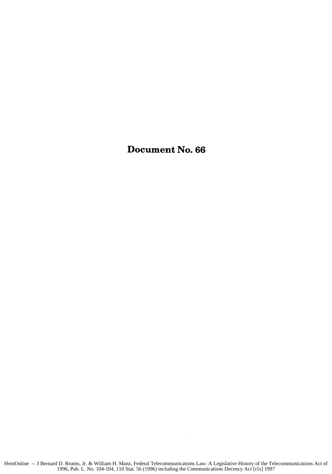Document No. **66**

 $\sim 10$